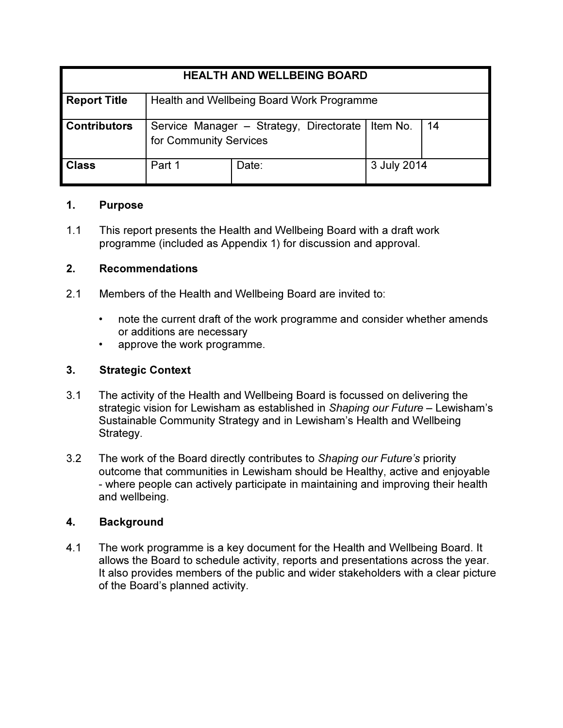| <b>HEALTH AND WELLBEING BOARD</b> |                                                                   |       |             |    |
|-----------------------------------|-------------------------------------------------------------------|-------|-------------|----|
| <b>Report Title</b>               | Health and Wellbeing Board Work Programme                         |       |             |    |
| <b>Contributors</b>               | Service Manager - Strategy, Directorate<br>for Community Services |       | Item No.    | 14 |
| <b>Class</b>                      | Part 1                                                            | Date: | 3 July 2014 |    |

# 1. Purpose

1.1 This report presents the Health and Wellbeing Board with a draft work programme (included as Appendix 1) for discussion and approval.

# 2. Recommendations

- 2.1 Members of the Health and Wellbeing Board are invited to:
	- note the current draft of the work programme and consider whether amends or additions are necessary
	- approve the work programme.

### 3. Strategic Context

- 3.1 The activity of the Health and Wellbeing Board is focussed on delivering the strategic vision for Lewisham as established in Shaping our Future – Lewisham's Sustainable Community Strategy and in Lewisham's Health and Wellbeing Strategy.
- 3.2 The work of the Board directly contributes to Shaping our Future's priority outcome that communities in Lewisham should be Healthy, active and enjoyable - where people can actively participate in maintaining and improving their health and wellbeing.

#### 4. Background

4.1 The work programme is a key document for the Health and Wellbeing Board. It allows the Board to schedule activity, reports and presentations across the year. It also provides members of the public and wider stakeholders with a clear picture of the Board's planned activity.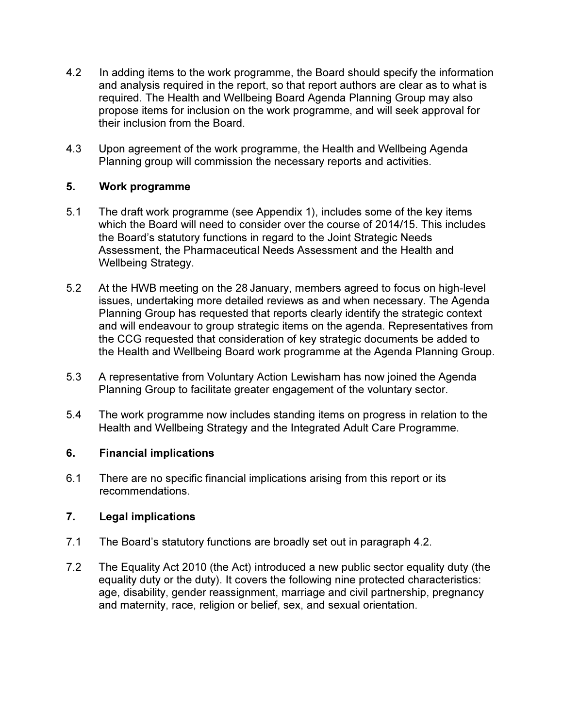- 4.2 In adding items to the work programme, the Board should specify the information and analysis required in the report, so that report authors are clear as to what is required. The Health and Wellbeing Board Agenda Planning Group may also propose items for inclusion on the work programme, and will seek approval for their inclusion from the Board.
- 4.3 Upon agreement of the work programme, the Health and Wellbeing Agenda Planning group will commission the necessary reports and activities.

# 5. Work programme

- 5.1 The draft work programme (see Appendix 1), includes some of the key items which the Board will need to consider over the course of 2014/15. This includes the Board's statutory functions in regard to the Joint Strategic Needs Assessment, the Pharmaceutical Needs Assessment and the Health and Wellbeing Strategy.
- 5.2 At the HWB meeting on the 28 January, members agreed to focus on high-level issues, undertaking more detailed reviews as and when necessary. The Agenda Planning Group has requested that reports clearly identify the strategic context and will endeavour to group strategic items on the agenda. Representatives from the CCG requested that consideration of key strategic documents be added to the Health and Wellbeing Board work programme at the Agenda Planning Group.
- 5.3 A representative from Voluntary Action Lewisham has now joined the Agenda Planning Group to facilitate greater engagement of the voluntary sector.
- 5.4 The work programme now includes standing items on progress in relation to the Health and Wellbeing Strategy and the Integrated Adult Care Programme.

#### 6. Financial implications

6.1 There are no specific financial implications arising from this report or its recommendations.

#### 7. Legal implications

- 7.1 The Board's statutory functions are broadly set out in paragraph 4.2.
- 7.2 The Equality Act 2010 (the Act) introduced a new public sector equality duty (the equality duty or the duty). It covers the following nine protected characteristics: age, disability, gender reassignment, marriage and civil partnership, pregnancy and maternity, race, religion or belief, sex, and sexual orientation.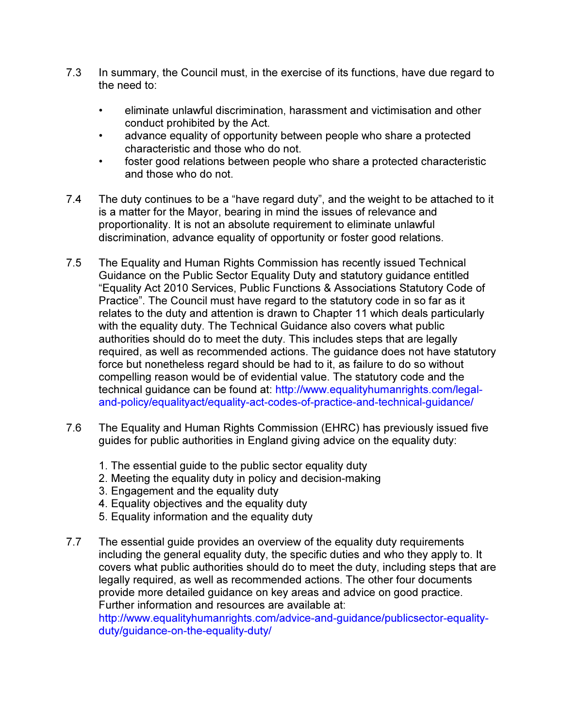- 7.3 In summary, the Council must, in the exercise of its functions, have due regard to the need to:
	- eliminate unlawful discrimination, harassment and victimisation and other conduct prohibited by the Act.
	- advance equality of opportunity between people who share a protected characteristic and those who do not.
	- foster good relations between people who share a protected characteristic and those who do not.
- 7.4 The duty continues to be a "have regard duty", and the weight to be attached to it is a matter for the Mayor, bearing in mind the issues of relevance and proportionality. It is not an absolute requirement to eliminate unlawful discrimination, advance equality of opportunity or foster good relations.
- 7.5 The Equality and Human Rights Commission has recently issued Technical Guidance on the Public Sector Equality Duty and statutory guidance entitled "Equality Act 2010 Services, Public Functions & Associations Statutory Code of Practice". The Council must have regard to the statutory code in so far as it relates to the duty and attention is drawn to Chapter 11 which deals particularly with the equality duty. The Technical Guidance also covers what public authorities should do to meet the duty. This includes steps that are legally required, as well as recommended actions. The guidance does not have statutory force but nonetheless regard should be had to it, as failure to do so without compelling reason would be of evidential value. The statutory code and the technical guidance can be found at: http://www.equalityhumanrights.com/legaland-policy/equalityact/equality-act-codes-of-practice-and-technical-guidance/
- 7.6 The Equality and Human Rights Commission (EHRC) has previously issued five guides for public authorities in England giving advice on the equality duty:
	- 1. The essential guide to the public sector equality duty
	- 2. Meeting the equality duty in policy and decision-making
	- 3. Engagement and the equality duty
	- 4. Equality objectives and the equality duty
	- 5. Equality information and the equality duty
- 7.7 The essential guide provides an overview of the equality duty requirements including the general equality duty, the specific duties and who they apply to. It covers what public authorities should do to meet the duty, including steps that are legally required, as well as recommended actions. The other four documents provide more detailed guidance on key areas and advice on good practice. Further information and resources are available at:

http://www.equalityhumanrights.com/advice-and-guidance/publicsector-equalityduty/guidance-on-the-equality-duty/